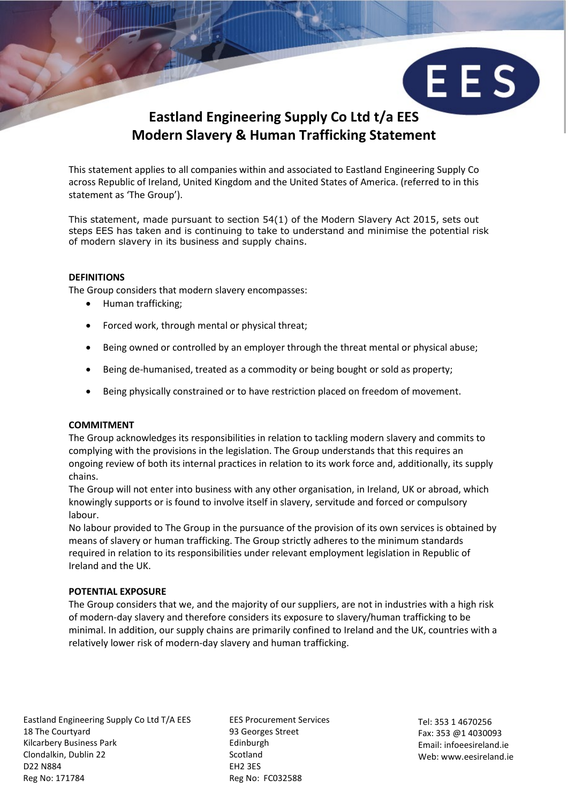

This statement applies to all companies within and associated to Eastland Engineering Supply Co across Republic of Ireland, United Kingdom and the United States of America. (referred to in this statement as 'The Group').

This statement, made pursuant to section 54(1) of the Modern Slavery Act 2015, sets out steps EES has taken and is continuing to take to understand and minimise the potential risk of modern slavery in its business and supply chains.

## **DEFINITIONS**

The Group considers that modern slavery encompasses:

- Human trafficking;
- Forced work, through mental or physical threat;
- Being owned or controlled by an employer through the threat mental or physical abuse;
- Being de-humanised, treated as a commodity or being bought or sold as property;
- Being physically constrained or to have restriction placed on freedom of movement.

### **COMMITMENT**

The Group acknowledges its responsibilities in relation to tackling modern slavery and commits to complying with the provisions in the legislation. The Group understands that this requires an ongoing review of both its internal practices in relation to its work force and, additionally, its supply chains.

The Group will not enter into business with any other organisation, in Ireland, UK or abroad, which knowingly supports or is found to involve itself in slavery, servitude and forced or compulsory labour.

No labour provided to The Group in the pursuance of the provision of its own services is obtained by means of slavery or human trafficking. The Group strictly adheres to the minimum standards required in relation to its responsibilities under relevant employment legislation in Republic of Ireland and the UK.

### **POTENTIAL EXPOSURE**

The Group considers that we, and the majority of our suppliers, are not in industries with a high risk of modern-day slavery and therefore considers its exposure to slavery/human trafficking to be minimal. In addition, our supply chains are primarily confined to Ireland and the UK, countries with a relatively lower risk of modern-day slavery and human trafficking.

Eastland Engineering Supply Co Ltd T/A EES FIGURE EES Procurement Services 18 The Courtyard 93 Georges Street Kilcarbery Business Park **Edinburgh** Clondalkin, Dublin 22 Scotland D22 N884 EH2 3ES Reg No: 171784 Reg No: FC032588

Tel: 353 1 4670256 Fax: 353 @1 4030093 Email: infoeesireland.ie Web: www.eesireland.ie

EES)